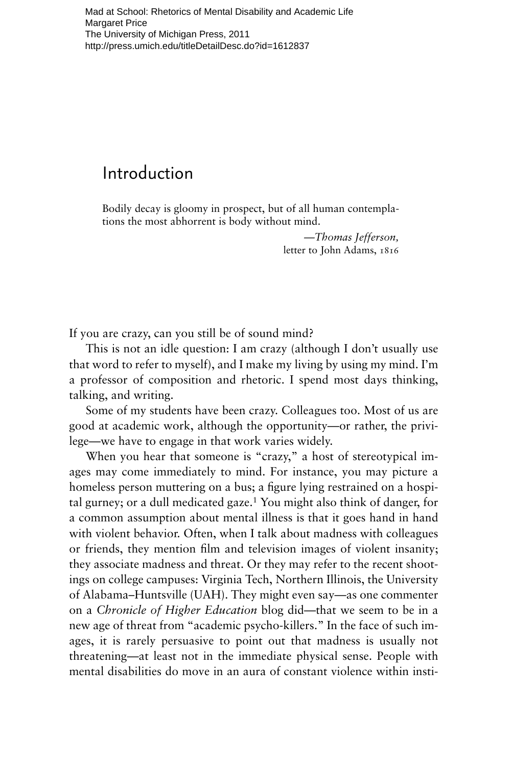# Introduction

Bodily decay is gloomy in prospect, but of all human contemplations the most abhorrent is body without mind.

> *—Thomas Jefferson,* letter to John Adams, 1816

If you are crazy, can you still be of sound mind?

This is not an idle question: I am crazy (although I don't usually use that word to refer to myself), and I make my living by using my mind. I'm a professor of composition and rhetoric. I spend most days thinking, talking, and writing.

Some of my students have been crazy. Colleagues too. Most of us are good at academic work, although the opportunity—or rather, the privilege—we have to engage in that work varies widely.

When you hear that someone is "crazy," a host of stereotypical images may come immediately to mind. For instance, you may picture a homeless person muttering on a bus; a figure lying restrained on a hospital gurney; or a dull medicated gaze.<sup>1</sup> You might also think of danger, for a common assumption about mental illness is that it goes hand in hand with violent behavior. Often, when I talk about madness with colleagues or friends, they mention film and television images of violent insanity; they associate madness and threat. Or they may refer to the recent shootings on college campuses: Virginia Tech, Northern Illinois, the University of Alabama–Huntsville (UAH). They might even say—as one commenter on a *Chronicle of Higher Education* blog did—that we seem to be in a new age of threat from "academic psycho-killers." In the face of such images, it is rarely persuasive to point out that madness is usually not threatening—at least not in the immediate physical sense. People with mental disabilities do move in an aura of constant violence within insti-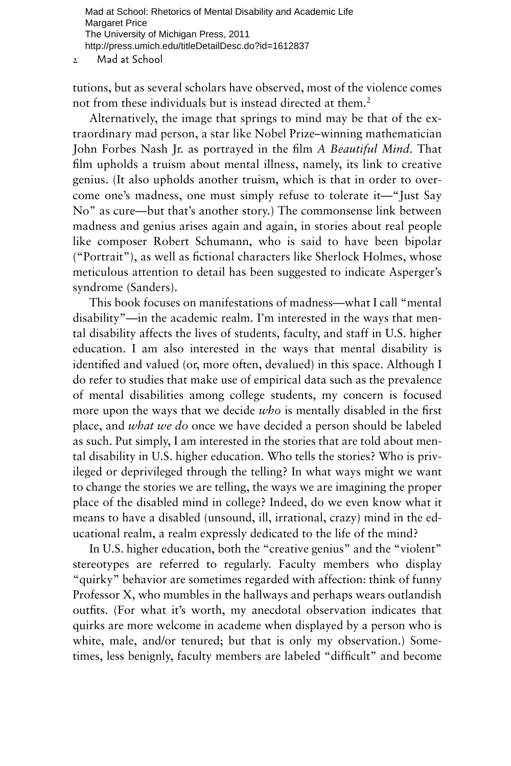2 Mad at School

tutions, but as several scholars have observed, most of the violence comes not from these individuals but is instead directed at them.<sup>2</sup>

Alternatively, the image that springs to mind may be that of the extraordinary mad person, a star like Nobel Prize–winning mathematician John Forbes Nash Jr. as portrayed in the film *A Beautiful Mind*. That film upholds a truism about mental illness, namely, its link to creative genius. (It also upholds another truism, which is that in order to overcome one's madness, one must simply refuse to tolerate it—"Just Say No" as cure—but that's another story.) The commonsense link between madness and genius arises again and again, in stories about real people like composer Robert Schumann, who is said to have been bipolar ("Portrait"), as well as fictional characters like Sherlock Holmes, whose meticulous attention to detail has been suggested to indicate Asperger's syndrome (Sanders).

This book focuses on manifestations of madness—what I call "mental disability"—in the academic realm. I'm interested in the ways that mental disability affects the lives of students, faculty, and staff in U.S. higher education. I am also interested in the ways that mental disability is identified and valued (or, more often, devalued) in this space. Although I do refer to studies that make use of empirical data such as the prevalence of mental disabilities among college students, my concern is focused more upon the ways that we decide *who* is mentally disabled in the first place, and *what we do* once we have decided a person should be labeled as such. Put simply, I am interested in the stories that are told about mental disability in U.S. higher education. Who tells the stories? Who is privileged or deprivileged through the telling? In what ways might we want to change the stories we are telling, the ways we are imagining the proper place of the disabled mind in college? Indeed, do we even know what it means to have a disabled (unsound, ill, irrational, crazy) mind in the educational realm, a realm expressly dedicated to the life of the mind?

In U.S. higher education, both the "creative genius" and the "violent" stereotypes are referred to regularly. Faculty members who display "quirky" behavior are sometimes regarded with affection: think of funny Professor X, who mumbles in the hallways and perhaps wears outlandish outfits. (For what it's worth, my anecdotal observation indicates that quirks are more welcome in academe when displayed by a person who is white, male, and/or tenured; but that is only my observation.) Sometimes, less benignly, faculty members are labeled "difficult" and become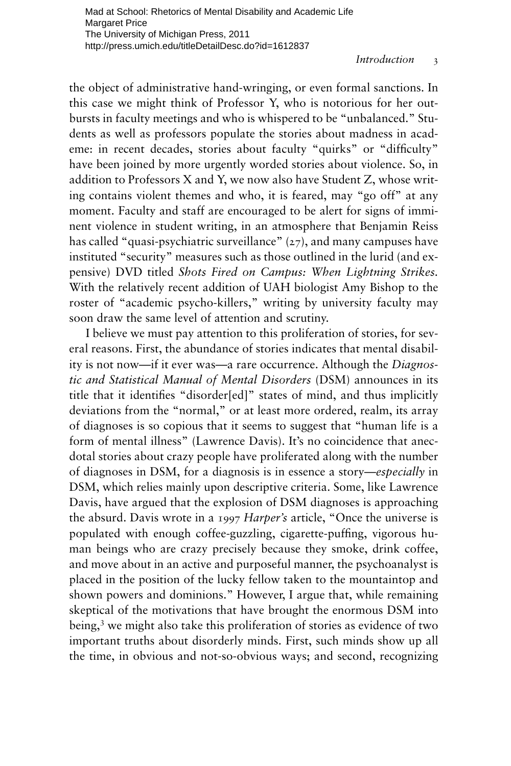### *Introduction* 3

the object of administrative hand-wringing, or even formal sanctions. In this case we might think of Professor Y, who is notorious for her outbursts in faculty meetings and who is whispered to be "unbalanced." Students as well as professors populate the stories about madness in academe: in recent decades, stories about faculty "quirks" or "difficulty" have been joined by more urgently worded stories about violence. So, in addition to Professors X and Y, we now also have Student Z, whose writing contains violent themes and who, it is feared, may "go off" at any moment. Faculty and staff are encouraged to be alert for signs of imminent violence in student writing, in an atmosphere that Benjamin Reiss has called "quasi-psychiatric surveillance" (27), and many campuses have instituted "security" measures such as those outlined in the lurid (and expensive) DVD titled *Shots Fired on Campus: When Lightning Strikes.* With the relatively recent addition of UAH biologist Amy Bishop to the roster of "academic psycho-killers," writing by university faculty may soon draw the same level of attention and scrutiny.

I believe we must pay attention to this proliferation of stories, for several reasons. First, the abundance of stories indicates that mental disability is not now—if it ever was—a rare occurrence. Although the *Diagnostic and Statistical Manual of Mental Disorders* (DSM) announces in its title that it identifies "disorder[ed]" states of mind, and thus implicitly deviations from the "normal," or at least more ordered, realm, its array of diagnoses is so copious that it seems to suggest that "human life is a form of mental illness" (Lawrence Davis). It's no coincidence that anecdotal stories about crazy people have proliferated along with the number of diagnoses in DSM, for a diagnosis is in essence a story—*especially* in DSM, which relies mainly upon descriptive criteria. Some, like Lawrence Davis, have argued that the explosion of DSM diagnoses is approaching the absurd. Davis wrote in a 1997 *Harper's* article, "Once the universe is populated with enough coffee-guzzling, cigarette-puffing, vigorous human beings who are crazy precisely because they smoke, drink coffee, and move about in an active and purposeful manner, the psychoanalyst is placed in the position of the lucky fellow taken to the mountaintop and shown powers and dominions." However, I argue that, while remaining skeptical of the motivations that have brought the enormous DSM into being,<sup>3</sup> we might also take this proliferation of stories as evidence of two important truths about disorderly minds. First, such minds show up all the time, in obvious and not-so-obvious ways; and second, recognizing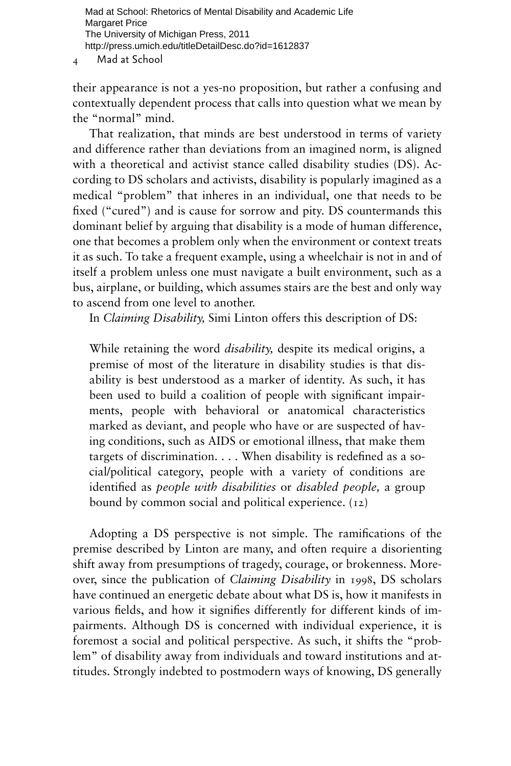4 Mad at School

their appearance is not a yes-no proposition, but rather a confusing and contextually dependent process that calls into question what we mean by the "normal" mind.

That realization, that minds are best understood in terms of variety and difference rather than deviations from an imagined norm, is aligned with a theoretical and activist stance called disability studies (DS). According to DS scholars and activists, disability is popularly imagined as a medical "problem" that inheres in an individual, one that needs to be fixed ("cured") and is cause for sorrow and pity. DS countermands this dominant belief by arguing that disability is a mode of human difference, one that becomes a problem only when the environment or context treats it as such. To take a frequent example, using a wheelchair is not in and of itself a problem unless one must navigate a built environment, such as a bus, airplane, or building, which assumes stairs are the best and only way to ascend from one level to another.

In *Claiming Disability,* Simi Linton offers this description of DS:

While retaining the word *disability,* despite its medical origins, a premise of most of the literature in disability studies is that disability is best understood as a marker of identity. As such, it has been used to build a coalition of people with significant impairments, people with behavioral or anatomical characteristics marked as deviant, and people who have or are suspected of having conditions, such as AIDS or emotional illness, that make them targets of discrimination.  $\dots$  When disability is redefined as a social/political category, people with a variety of conditions are identified as *people with disabilities* or *disabled people*, a group bound by common social and political experience. (12)

Adopting a DS perspective is not simple. The ramifications of the premise described by Linton are many, and often require a disorienting shift away from presumptions of tragedy, courage, or brokenness. Moreover, since the publication of *Claiming Disability* in 1998, DS scholars have continued an energetic debate about what DS is, how it manifests in various fields, and how it signifies differently for different kinds of impairments. Although DS is concerned with individual experience, it is foremost a social and political perspective. As such, it shifts the "problem" of disability away from individuals and toward institutions and attitudes. Strongly indebted to postmodern ways of knowing, DS generally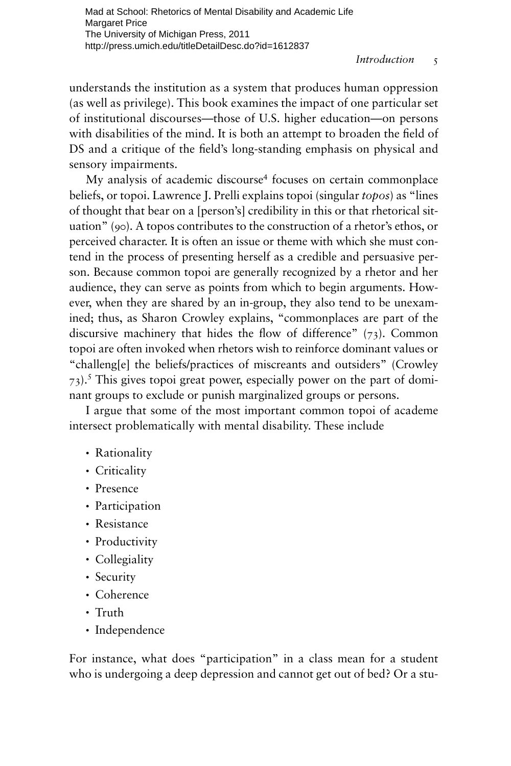understands the institution as a system that produces human oppression (as well as privilege). This book examines the impact of one particular set of institutional discourses—those of U.S. higher education—on persons with disabilities of the mind. It is both an attempt to broaden the field of DS and a critique of the field's long-standing emphasis on physical and sensory impairments.

My analysis of academic discourse<sup>4</sup> focuses on certain commonplace beliefs, or topoi. Lawrence J. Prelli explains topoi (singular *topos*) as "lines of thought that bear on a [person's] credibility in this or that rhetorical situation" (90). A topos contributes to the construction of a rhetor's ethos, or perceived character. It is often an issue or theme with which she must contend in the process of presenting herself as a credible and persuasive person. Because common topoi are generally recognized by a rhetor and her audience, they can serve as points from which to begin arguments. However, when they are shared by an in-group, they also tend to be unexamined; thus, as Sharon Crowley explains, "commonplaces are part of the discursive machinery that hides the flow of difference"  $(73)$ . Common topoi are often invoked when rhetors wish to reinforce dominant values or "challeng[e] the beliefs/practices of miscreants and outsiders" (Crowley  $73$ ).<sup>5</sup> This gives topoi great power, especially power on the part of dominant groups to exclude or punish marginalized groups or persons.

I argue that some of the most important common topoi of academe intersect problematically with mental disability. These include

- Rationality
- Criticality
- Presence
- Participation
- Resistance
- Productivity
- Collegiality
- Security
- Coherence
- Truth
- Independence

For instance, what does "participation" in a class mean for a student who is undergoing a deep depression and cannot get out of bed? Or a stu-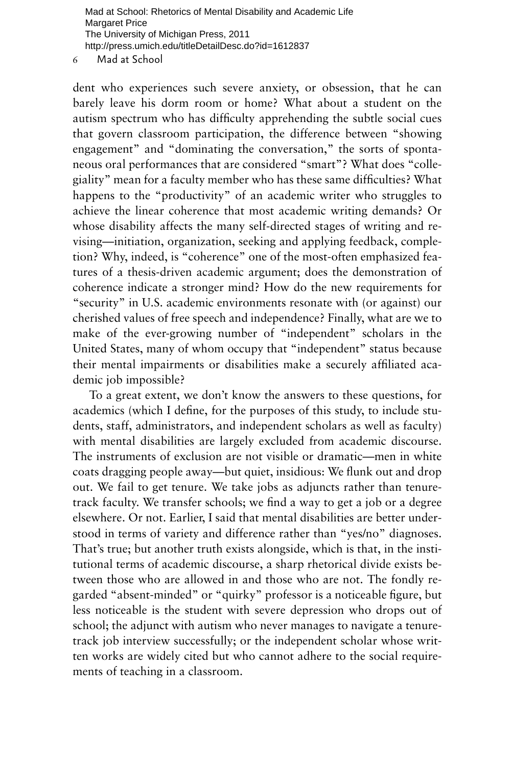6 Mad at School

dent who experiences such severe anxiety, or obsession, that he can barely leave his dorm room or home? What about a student on the autism spectrum who has difficulty apprehending the subtle social cues that govern classroom participation, the difference between "showing engagement" and "dominating the conversation," the sorts of spontaneous oral performances that are considered "smart"? What does "collegiality" mean for a faculty member who has these same difficulties? What happens to the "productivity" of an academic writer who struggles to achieve the linear coherence that most academic writing demands? Or whose disability affects the many self-directed stages of writing and revising—initiation, organization, seeking and applying feedback, completion? Why, indeed, is "coherence" one of the most-often emphasized features of a thesis-driven academic argument; does the demonstration of coherence indicate a stronger mind? How do the new requirements for "security" in U.S. academic environments resonate with (or against) our cherished values of free speech and independence? Finally, what are we to make of the ever-growing number of "independent" scholars in the United States, many of whom occupy that "independent" status because their mental impairments or disabilities make a securely affiliated academic job impossible?

To a great extent, we don't know the answers to these questions, for academics (which I define, for the purposes of this study, to include students, staff, administrators, and independent scholars as well as faculty) with mental disabilities are largely excluded from academic discourse. The instruments of exclusion are not visible or dramatic—men in white coats dragging people away—but quiet, insidious: We flunk out and drop out. We fail to get tenure. We take jobs as adjuncts rather than tenuretrack faculty. We transfer schools; we find a way to get a job or a degree elsewhere. Or not. Earlier, I said that mental disabilities are better understood in terms of variety and difference rather than "yes/no" diagnoses. That's true; but another truth exists alongside, which is that, in the institutional terms of academic discourse, a sharp rhetorical divide exists between those who are allowed in and those who are not. The fondly regarded "absent-minded" or "quirky" professor is a noticeable figure, but less noticeable is the student with severe depression who drops out of school; the adjunct with autism who never manages to navigate a tenuretrack job interview successfully; or the independent scholar whose written works are widely cited but who cannot adhere to the social requirements of teaching in a classroom.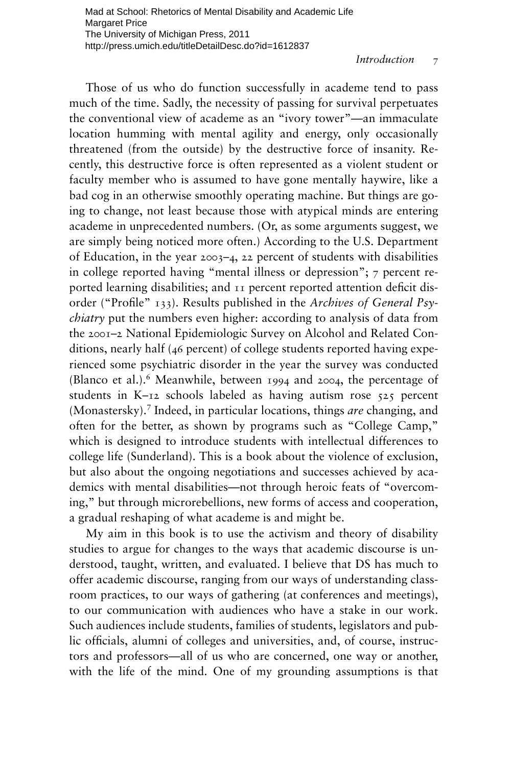### *Introduction*<sub>7</sub>

Those of us who do function successfully in academe tend to pass much of the time. Sadly, the necessity of passing for survival perpetuates the conventional view of academe as an "ivory tower"—an immaculate location humming with mental agility and energy, only occasionally threatened (from the outside) by the destructive force of insanity. Recently, this destructive force is often represented as a violent student or faculty member who is assumed to have gone mentally haywire, like a bad cog in an otherwise smoothly operating machine. But things are going to change, not least because those with atypical minds are entering academe in unprecedented numbers. (Or, as some arguments suggest, we are simply being noticed more often.) According to the U.S. Department of Education, in the year 2003–4, 22 percent of students with disabilities in college reported having "mental illness or depression"; 7 percent reported learning disabilities; and  $I$ I percent reported attention deficit disorder ("Profile" 133). Results published in the *Archives of General Psychiatry* put the numbers even higher: according to analysis of data from the 2001–2 National Epidemiologic Survey on Alcohol and Related Conditions, nearly half (46 percent) of college students reported having experienced some psychiatric disorder in the year the survey was conducted (Blanco et al.).<sup>6</sup> Meanwhile, between 1994 and 2004, the percentage of students in K–12 schools labeled as having autism rose 525 percent (Monastersky).<sup>7</sup> Indeed, in particular locations, things *are* changing, and often for the better, as shown by programs such as "College Camp," which is designed to introduce students with intellectual differences to college life (Sunderland). This is a book about the violence of exclusion, but also about the ongoing negotiations and successes achieved by academics with mental disabilities—not through heroic feats of "overcoming," but through microrebellions, new forms of access and cooperation, a gradual reshaping of what academe is and might be.

My aim in this book is to use the activism and theory of disability studies to argue for changes to the ways that academic discourse is understood, taught, written, and evaluated. I believe that DS has much to offer academic discourse, ranging from our ways of understanding classroom practices, to our ways of gathering (at conferences and meetings), to our communication with audiences who have a stake in our work. Such audiences include students, families of students, legislators and public officials, alumni of colleges and universities, and, of course, instructors and professors—all of us who are concerned, one way or another, with the life of the mind. One of my grounding assumptions is that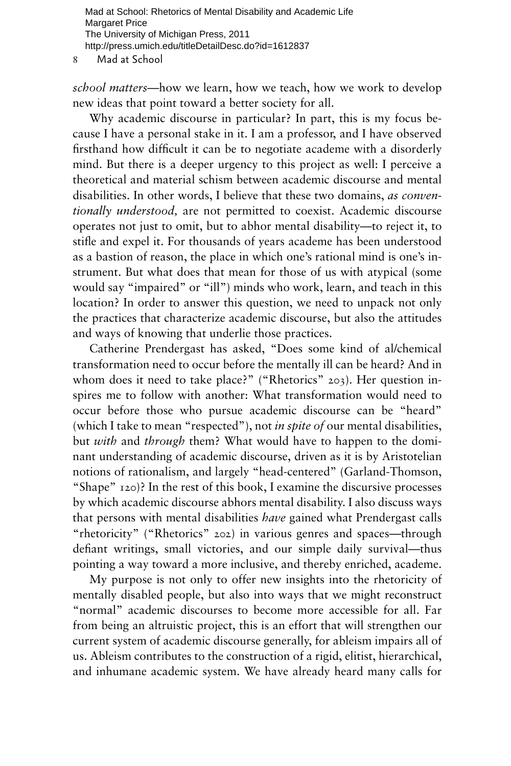8 Mad at School

*school matters*—how we learn, how we teach, how we work to develop new ideas that point toward a better society for all.

Why academic discourse in particular? In part, this is my focus because I have a personal stake in it. I am a professor, and I have observed firsthand how difficult it can be to negotiate academe with a disorderly mind. But there is a deeper urgency to this project as well: I perceive a theoretical and material schism between academic discourse and mental disabilities. In other words, I believe that these two domains, *as conventionally understood,* are not permitted to coexist. Academic discourse operates not just to omit, but to abhor mental disability—to reject it, to stifle and expel it. For thousands of years academe has been understood as a bastion of reason, the place in which one's rational mind is one's instrument. But what does that mean for those of us with atypical (some would say "impaired" or "ill") minds who work, learn, and teach in this location? In order to answer this question, we need to unpack not only the practices that characterize academic discourse, but also the attitudes and ways of knowing that underlie those practices.

Catherine Prendergast has asked, "Does some kind of al/chemical transformation need to occur before the mentally ill can be heard? And in whom does it need to take place?" ("Rhetorics" 203). Her question inspires me to follow with another: What transformation would need to occur before those who pursue academic discourse can be "heard" (which I take to mean "respected"), not *in spite of* our mental disabilities, but *with* and *through* them? What would have to happen to the dominant understanding of academic discourse, driven as it is by Aristotelian notions of rationalism, and largely "head-centered" (Garland-Thomson, "Shape" 120)? In the rest of this book, I examine the discursive processes by which academic discourse abhors mental disability. I also discuss ways that persons with mental disabilities *have* gained what Prendergast calls "rhetoricity" ("Rhetorics" 202) in various genres and spaces—through defiant writings, small victories, and our simple daily survival—thus pointing a way toward a more inclusive, and thereby enriched, academe.

My purpose is not only to offer new insights into the rhetoricity of mentally disabled people, but also into ways that we might reconstruct "normal" academic discourses to become more accessible for all. Far from being an altruistic project, this is an effort that will strengthen our current system of academic discourse generally, for ableism impairs all of us. Ableism contributes to the construction of a rigid, elitist, hierarchical, and inhumane academic system. We have already heard many calls for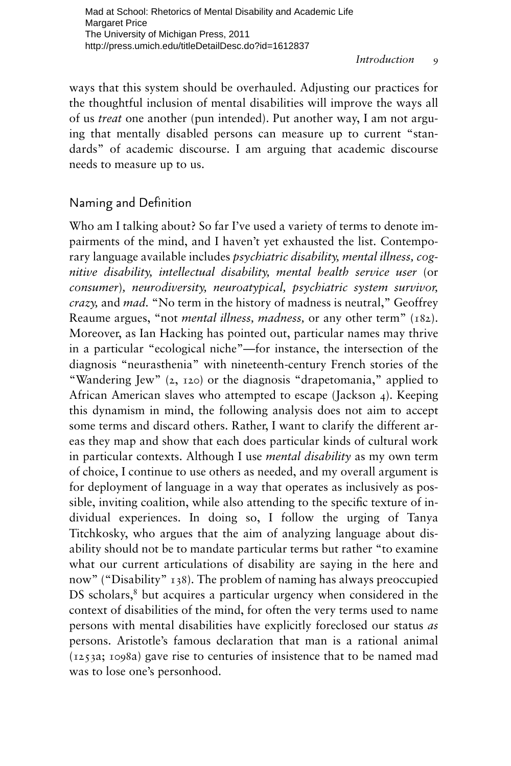ways that this system should be overhauled. Adjusting our practices for the thoughtful inclusion of mental disabilities will improve the ways all of us *treat* one another (pun intended). Put another way, I am not arguing that mentally disabled persons can measure up to current "standards" of academic discourse. I am arguing that academic discourse needs to measure up to us.

# Naming and Definition

Who am I talking about? So far I've used a variety of terms to denote impairments of the mind, and I haven't yet exhausted the list. Contemporary language available includes *psychiatric disability, mental illness, cognitive disability, intellectual disability, mental health service user* (or *consumer*)*, neurodiversity, neuroatypical, psychiatric system survivor, crazy,* and *mad.* "No term in the history of madness is neutral," Geoffrey Reaume argues, "not *mental illness, madness,* or any other term" (182). Moreover, as Ian Hacking has pointed out, particular names may thrive in a particular "ecological niche"—for instance, the intersection of the diagnosis "neurasthenia" with nineteenth-century French stories of the "Wandering Jew" (2, 120) or the diagnosis "drapetomania," applied to African American slaves who attempted to escape (Jackson 4). Keeping this dynamism in mind, the following analysis does not aim to accept some terms and discard others. Rather, I want to clarify the different areas they map and show that each does particular kinds of cultural work in particular contexts. Although I use *mental disability* as my own term of choice, I continue to use others as needed, and my overall argument is for deployment of language in a way that operates as inclusively as possible, inviting coalition, while also attending to the specific texture of individual experiences. In doing so, I follow the urging of Tanya Titchkosky, who argues that the aim of analyzing language about disability should not be to mandate particular terms but rather "to examine what our current articulations of disability are saying in the here and now" ("Disability" 138). The problem of naming has always preoccupied DS scholars,<sup>8</sup> but acquires a particular urgency when considered in the context of disabilities of the mind, for often the very terms used to name persons with mental disabilities have explicitly foreclosed our status *as* persons. Aristotle's famous declaration that man is a rational animal (1253a; 1098a) gave rise to centuries of insistence that to be named mad was to lose one's personhood.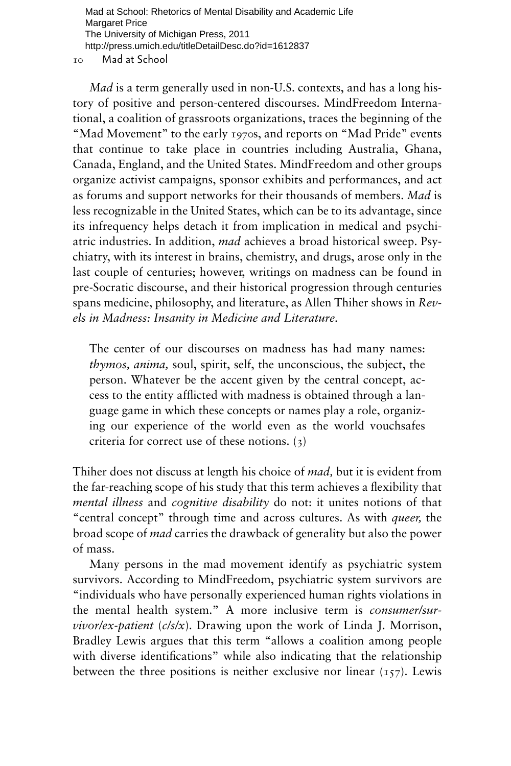10 Mad at School

*Mad* is a term generally used in non-U.S. contexts, and has a long history of positive and person-centered discourses. MindFreedom International, a coalition of grassroots organizations, traces the beginning of the "Mad Movement" to the early 1970s, and reports on "Mad Pride" events that continue to take place in countries including Australia, Ghana, Canada, England, and the United States. MindFreedom and other groups organize activist campaigns, sponsor exhibits and performances, and act as forums and support networks for their thousands of members. *Mad* is less recognizable in the United States, which can be to its advantage, since its infrequency helps detach it from implication in medical and psychiatric industries. In addition, *mad* achieves a broad historical sweep. Psychiatry, with its interest in brains, chemistry, and drugs, arose only in the last couple of centuries; however, writings on madness can be found in pre-Socratic discourse, and their historical progression through centuries spans medicine, philosophy, and literature, as Allen Thiher shows in *Revels in Madness: Insanity in Medicine and Literature.*

The center of our discourses on madness has had many names: *thymos, anima,* soul, spirit, self, the unconscious, the subject, the person. Whatever be the accent given by the central concept, access to the entity afflicted with madness is obtained through a language game in which these concepts or names play a role, organizing our experience of the world even as the world vouchsafes criteria for correct use of these notions. (3)

Thiher does not discuss at length his choice of *mad,* but it is evident from the far-reaching scope of his study that this term achieves a flexibility that *mental illness* and *cognitive disability* do not: it unites notions of that "central concept" through time and across cultures. As with *queer,* the broad scope of *mad* carries the drawback of generality but also the power of mass.

Many persons in the mad movement identify as psychiatric system survivors. According to MindFreedom, psychiatric system survivors are "individuals who have personally experienced human rights violations in the mental health system." A more inclusive term is *consumer/survivor/ex-patient* (*c/s/x*). Drawing upon the work of Linda J. Morrison, Bradley Lewis argues that this term "allows a coalition among people with diverse identifications" while also indicating that the relationship between the three positions is neither exclusive nor linear  $(157)$ . Lewis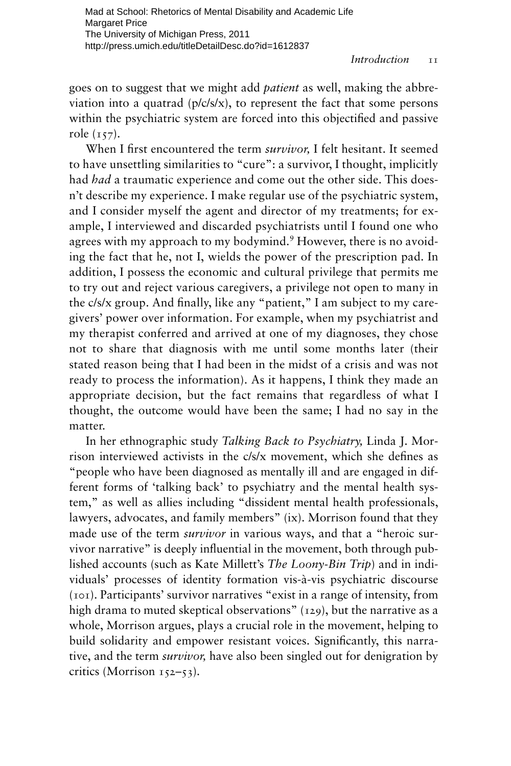goes on to suggest that we might add *patient* as well, making the abbreviation into a quatrad  $(p/c/s/x)$ , to represent the fact that some persons within the psychiatric system are forced into this objectified and passive role  $(157)$ .

When I first encountered the term *survivor*, I felt hesitant. It seemed to have unsettling similarities to "cure": a survivor, I thought, implicitly had *had* a traumatic experience and come out the other side. This doesn't describe my experience. I make regular use of the psychiatric system, and I consider myself the agent and director of my treatments; for example, I interviewed and discarded psychiatrists until I found one who agrees with my approach to my bodymind.<sup>9</sup> However, there is no avoiding the fact that he, not I, wields the power of the prescription pad. In addition, I possess the economic and cultural privilege that permits me to try out and reject various caregivers, a privilege not open to many in the c/s/x group. And finally, like any "patient," I am subject to my caregivers' power over information. For example, when my psychiatrist and my therapist conferred and arrived at one of my diagnoses, they chose not to share that diagnosis with me until some months later (their stated reason being that I had been in the midst of a crisis and was not ready to process the information). As it happens, I think they made an appropriate decision, but the fact remains that regardless of what I thought, the outcome would have been the same; I had no say in the matter.

In her ethnographic study *Talking Back to Psychiatry,* Linda J. Morrison interviewed activists in the  $c/s/x$  movement, which she defines as "people who have been diagnosed as mentally ill and are engaged in different forms of 'talking back' to psychiatry and the mental health system," as well as allies including "dissident mental health professionals, lawyers, advocates, and family members" (ix). Morrison found that they made use of the term *survivor* in various ways, and that a "heroic survivor narrative" is deeply influential in the movement, both through published accounts (such as Kate Millett's *The Loony-Bin Trip*) and in individuals' processes of identity formation vis-à-vis psychiatric discourse (101). Participants' survivor narratives "exist in a range of intensity, from high drama to muted skeptical observations" (129), but the narrative as a whole, Morrison argues, plays a crucial role in the movement, helping to build solidarity and empower resistant voices. Significantly, this narrative, and the term *survivor,* have also been singled out for denigration by critics (Morrison  $152-53$ ).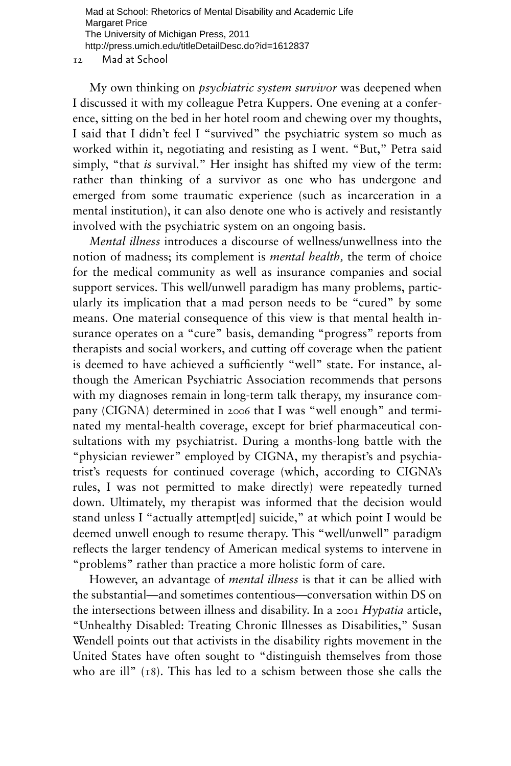12 Mad at School

My own thinking on *psychiatric system survivor* was deepened when I discussed it with my colleague Petra Kuppers. One evening at a conference, sitting on the bed in her hotel room and chewing over my thoughts, I said that I didn't feel I "survived" the psychiatric system so much as worked within it, negotiating and resisting as I went. "But," Petra said simply, "that *is* survival." Her insight has shifted my view of the term: rather than thinking of a survivor as one who has undergone and emerged from some traumatic experience (such as incarceration in a mental institution), it can also denote one who is actively and resistantly involved with the psychiatric system on an ongoing basis.

*Mental illness* introduces a discourse of wellness/unwellness into the notion of madness; its complement is *mental health,* the term of choice for the medical community as well as insurance companies and social support services. This well/unwell paradigm has many problems, particularly its implication that a mad person needs to be "cured" by some means. One material consequence of this view is that mental health insurance operates on a "cure" basis, demanding "progress" reports from therapists and social workers, and cutting off coverage when the patient is deemed to have achieved a sufficiently "well" state. For instance, although the American Psychiatric Association recommends that persons with my diagnoses remain in long-term talk therapy, my insurance company (CIGNA) determined in 2006 that I was "well enough" and terminated my mental-health coverage, except for brief pharmaceutical consultations with my psychiatrist. During a months-long battle with the "physician reviewer" employed by CIGNA, my therapist's and psychiatrist's requests for continued coverage (which, according to CIGNA's rules, I was not permitted to make directly) were repeatedly turned down. Ultimately, my therapist was informed that the decision would stand unless I "actually attempt[ed] suicide," at which point I would be deemed unwell enough to resume therapy. This "well/unwell" paradigm reflects the larger tendency of American medical systems to intervene in "problems" rather than practice a more holistic form of care.

However, an advantage of *mental illness* is that it can be allied with the substantial—and sometimes contentious—conversation within DS on the intersections between illness and disability. In a 2001 *Hypatia* article, "Unhealthy Disabled: Treating Chronic Illnesses as Disabilities," Susan Wendell points out that activists in the disability rights movement in the United States have often sought to "distinguish themselves from those who are ill" (18). This has led to a schism between those she calls the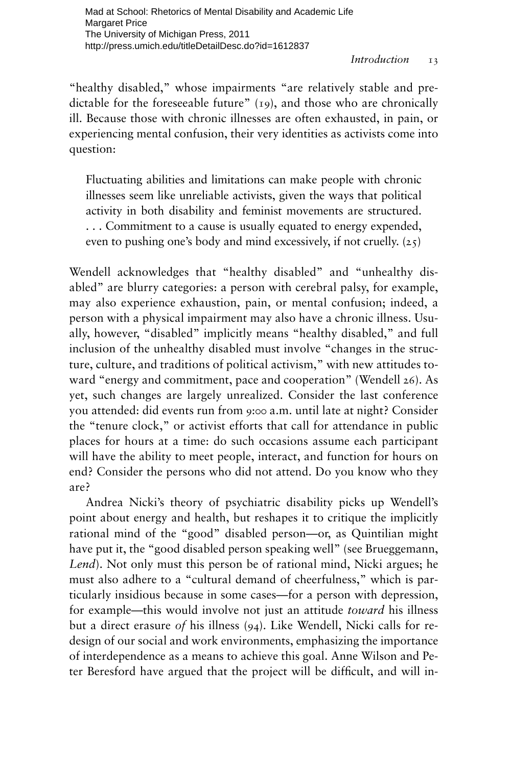"healthy disabled," whose impairments "are relatively stable and predictable for the foreseeable future" (19), and those who are chronically ill. Because those with chronic illnesses are often exhausted, in pain, or experiencing mental confusion, their very identities as activists come into question:

Fluctuating abilities and limitations can make people with chronic illnesses seem like unreliable activists, given the ways that political activity in both disability and feminist movements are structured. . . . Commitment to a cause is usually equated to energy expended, even to pushing one's body and mind excessively, if not cruelly.  $(z<sub>5</sub>)$ 

Wendell acknowledges that "healthy disabled" and "unhealthy disabled" are blurry categories: a person with cerebral palsy, for example, may also experience exhaustion, pain, or mental confusion; indeed, a person with a physical impairment may also have a chronic illness. Usually, however, "disabled" implicitly means "healthy disabled," and full inclusion of the unhealthy disabled must involve "changes in the structure, culture, and traditions of political activism," with new attitudes toward "energy and commitment, pace and cooperation" (Wendell 26). As yet, such changes are largely unrealized. Consider the last conference you attended: did events run from 9:00 a.m. until late at night? Consider the "tenure clock," or activist efforts that call for attendance in public places for hours at a time: do such occasions assume each participant will have the ability to meet people, interact, and function for hours on end? Consider the persons who did not attend. Do you know who they are?

Andrea Nicki's theory of psychiatric disability picks up Wendell's point about energy and health, but reshapes it to critique the implicitly rational mind of the "good" disabled person—or, as Quintilian might have put it, the "good disabled person speaking well" (see Brueggemann, *Lend*). Not only must this person be of rational mind, Nicki argues; he must also adhere to a "cultural demand of cheerfulness," which is particularly insidious because in some cases—for a person with depression, for example—this would involve not just an attitude *toward* his illness but a direct erasure *of* his illness (94). Like Wendell, Nicki calls for redesign of our social and work environments, emphasizing the importance of interdependence as a means to achieve this goal. Anne Wilson and Peter Beresford have argued that the project will be difficult, and will in-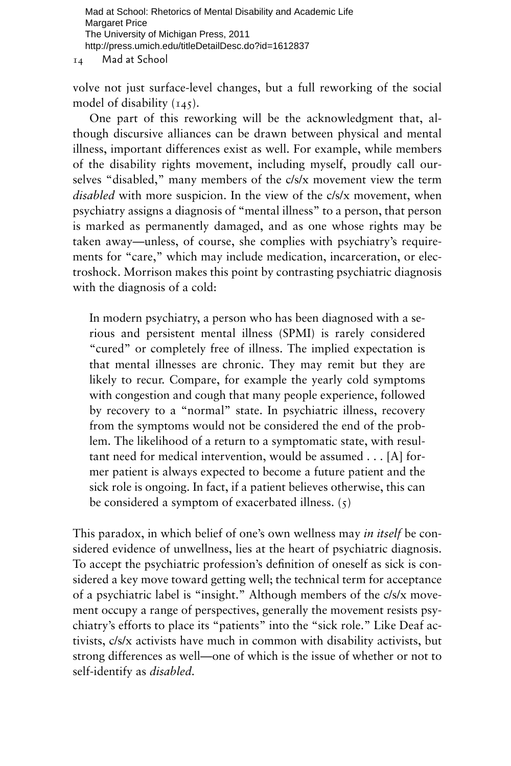14 Mad at School

volve not just surface-level changes, but a full reworking of the social model of disability  $(145)$ .

One part of this reworking will be the acknowledgment that, although discursive alliances can be drawn between physical and mental illness, important differences exist as well. For example, while members of the disability rights movement, including myself, proudly call ourselves "disabled," many members of the c/s/x movement view the term *disabled* with more suspicion. In the view of the c/s/x movement, when psychiatry assigns a diagnosis of "mental illness" to a person, that person is marked as permanently damaged, and as one whose rights may be taken away—unless, of course, she complies with psychiatry's requirements for "care," which may include medication, incarceration, or electroshock. Morrison makes this point by contrasting psychiatric diagnosis with the diagnosis of a cold:

In modern psychiatry, a person who has been diagnosed with a serious and persistent mental illness (SPMI) is rarely considered "cured" or completely free of illness. The implied expectation is that mental illnesses are chronic. They may remit but they are likely to recur. Compare, for example the yearly cold symptoms with congestion and cough that many people experience, followed by recovery to a "normal" state. In psychiatric illness, recovery from the symptoms would not be considered the end of the problem. The likelihood of a return to a symptomatic state, with resultant need for medical intervention, would be assumed . . . [A] former patient is always expected to become a future patient and the sick role is ongoing. In fact, if a patient believes otherwise, this can be considered a symptom of exacerbated illness. (5)

This paradox, in which belief of one's own wellness may *in itself* be considered evidence of unwellness, lies at the heart of psychiatric diagnosis. To accept the psychiatric profession's definition of oneself as sick is considered a key move toward getting well; the technical term for acceptance of a psychiatric label is "insight." Although members of the c/s/x movement occupy a range of perspectives, generally the movement resists psychiatry's efforts to place its "patients" into the "sick role." Like Deaf activists, c/s/x activists have much in common with disability activists, but strong differences as well—one of which is the issue of whether or not to self-identify as *disabled.*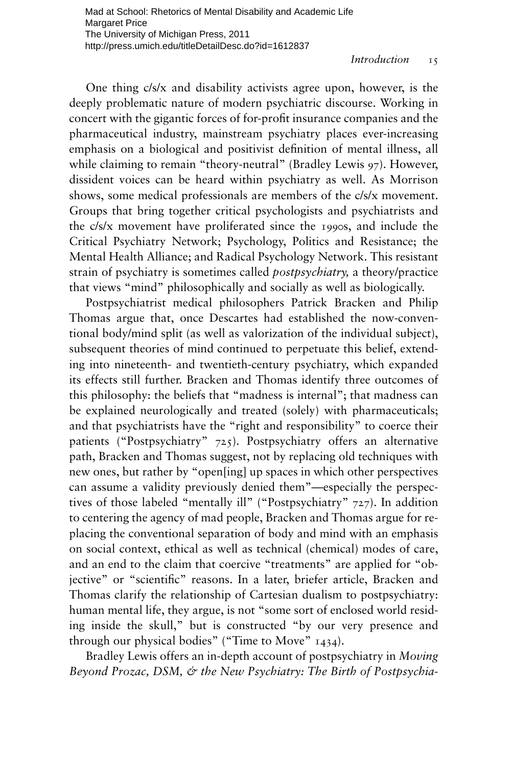One thing c/s/x and disability activists agree upon, however, is the deeply problematic nature of modern psychiatric discourse. Working in concert with the gigantic forces of for-profit insurance companies and the pharmaceutical industry, mainstream psychiatry places ever-increasing emphasis on a biological and positivist definition of mental illness, all while claiming to remain "theory-neutral" (Bradley Lewis 97). However, dissident voices can be heard within psychiatry as well. As Morrison shows, some medical professionals are members of the c/s/x movement. Groups that bring together critical psychologists and psychiatrists and the c/s/x movement have proliferated since the 1990s, and include the Critical Psychiatry Network; Psychology, Politics and Resistance; the Mental Health Alliance; and Radical Psychology Network. This resistant strain of psychiatry is sometimes called *postpsychiatry,* a theory/practice that views "mind" philosophically and socially as well as biologically.

Postpsychiatrist medical philosophers Patrick Bracken and Philip Thomas argue that, once Descartes had established the now-conventional body/mind split (as well as valorization of the individual subject), subsequent theories of mind continued to perpetuate this belief, extending into nineteenth- and twentieth-century psychiatry, which expanded its effects still further. Bracken and Thomas identify three outcomes of this philosophy: the beliefs that "madness is internal"; that madness can be explained neurologically and treated (solely) with pharmaceuticals; and that psychiatrists have the "right and responsibility" to coerce their patients ("Postpsychiatry" 725). Postpsychiatry offers an alternative path, Bracken and Thomas suggest, not by replacing old techniques with new ones, but rather by "open[ing] up spaces in which other perspectives can assume a validity previously denied them"—especially the perspectives of those labeled "mentally ill" ("Postpsychiatry" 727). In addition to centering the agency of mad people, Bracken and Thomas argue for replacing the conventional separation of body and mind with an emphasis on social context, ethical as well as technical (chemical) modes of care, and an end to the claim that coercive "treatments" are applied for "objective" or "scientific" reasons. In a later, briefer article, Bracken and Thomas clarify the relationship of Cartesian dualism to postpsychiatry: human mental life, they argue, is not "some sort of enclosed world residing inside the skull," but is constructed "by our very presence and through our physical bodies" ("Time to Move" 1434).

Bradley Lewis offers an in-depth account of postpsychiatry in *Moving Beyond Prozac, DSM, & the New Psychiatry: The Birth of Postpsychia-*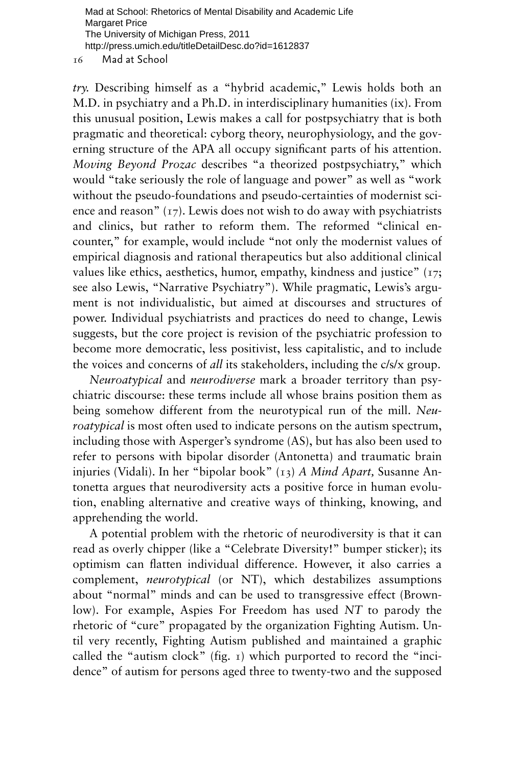16 Mad at School

*try.* Describing himself as a "hybrid academic," Lewis holds both an M.D. in psychiatry and a Ph.D. in interdisciplinary humanities (ix). From this unusual position, Lewis makes a call for postpsychiatry that is both pragmatic and theoretical: cyborg theory, neurophysiology, and the governing structure of the APA all occupy significant parts of his attention. *Moving Beyond Prozac* describes "a theorized postpsychiatry," which would "take seriously the role of language and power" as well as "work without the pseudo-foundations and pseudo-certainties of modernist science and reason"  $(17)$ . Lewis does not wish to do away with psychiatrists and clinics, but rather to reform them. The reformed "clinical encounter," for example, would include "not only the modernist values of empirical diagnosis and rational therapeutics but also additional clinical values like ethics, aesthetics, humor, empathy, kindness and justice" (17; see also Lewis, "Narrative Psychiatry"). While pragmatic, Lewis's argument is not individualistic, but aimed at discourses and structures of power. Individual psychiatrists and practices do need to change, Lewis suggests, but the core project is revision of the psychiatric profession to become more democratic, less positivist, less capitalistic, and to include the voices and concerns of *all* its stakeholders, including the c/s/x group.

*Neuroatypical* and *neurodiverse* mark a broader territory than psychiatric discourse: these terms include all whose brains position them as being somehow different from the neurotypical run of the mill. *Neuroatypical* is most often used to indicate persons on the autism spectrum, including those with Asperger's syndrome (AS), but has also been used to refer to persons with bipolar disorder (Antonetta) and traumatic brain injuries (Vidali). In her "bipolar book" (13) *A Mind Apart,* Susanne Antonetta argues that neurodiversity acts a positive force in human evolution, enabling alternative and creative ways of thinking, knowing, and apprehending the world.

A potential problem with the rhetoric of neurodiversity is that it can read as overly chipper (like a "Celebrate Diversity!" bumper sticker); its optimism can flatten individual difference. However, it also carries a complement, *neurotypical* (or NT), which destabilizes assumptions about "normal" minds and can be used to transgressive effect (Brownlow). For example, Aspies For Freedom has used *NT* to parody the rhetoric of "cure" propagated by the organization Fighting Autism. Until very recently, Fighting Autism published and maintained a graphic called the "autism clock" (fig. 1) which purported to record the "incidence" of autism for persons aged three to twenty-two and the supposed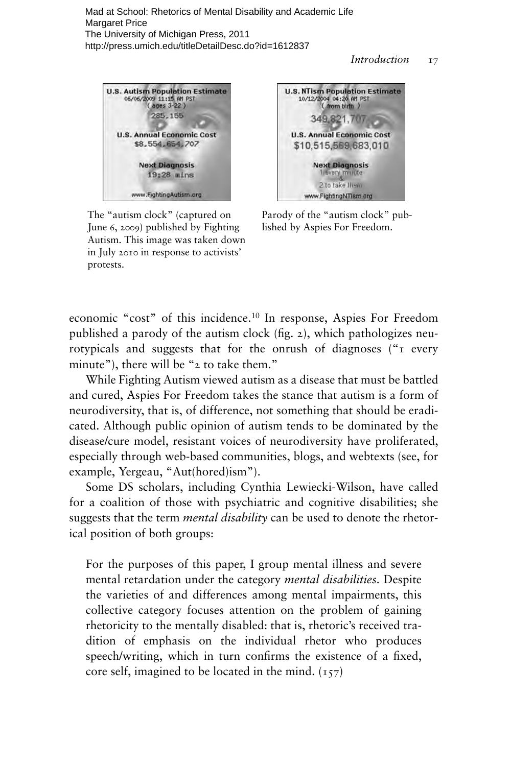

The "autism clock" (captured on June 6, 2009) published by Fighting Autism. This image was taken down in July 2010 in response to activists' protests.



Parody of the "autism clock" published by Aspies For Freedom.

economic "cost" of this incidence.<sup>10</sup> In response, Aspies For Freedom published a parody of the autism clock (fig.  $2$ ), which pathologizes neurotypicals and suggests that for the onrush of diagnoses ("1 every minute"), there will be "2 to take them."

While Fighting Autism viewed autism as a disease that must be battled and cured, Aspies For Freedom takes the stance that autism is a form of neurodiversity, that is, of difference, not something that should be eradicated. Although public opinion of autism tends to be dominated by the disease/cure model, resistant voices of neurodiversity have proliferated, especially through web-based communities, blogs, and webtexts (see, for example, Yergeau, "Aut(hored)ism").

Some DS scholars, including Cynthia Lewiecki-Wilson, have called for a coalition of those with psychiatric and cognitive disabilities; she suggests that the term *mental disability* can be used to denote the rhetorical position of both groups:

For the purposes of this paper, I group mental illness and severe mental retardation under the category *mental disabilities.* Despite the varieties of and differences among mental impairments, this collective category focuses attention on the problem of gaining rhetoricity to the mentally disabled: that is, rhetoric's received tradition of emphasis on the individual rhetor who produces speech/writing, which in turn confirms the existence of a fixed, core self, imagined to be located in the mind.  $(157)$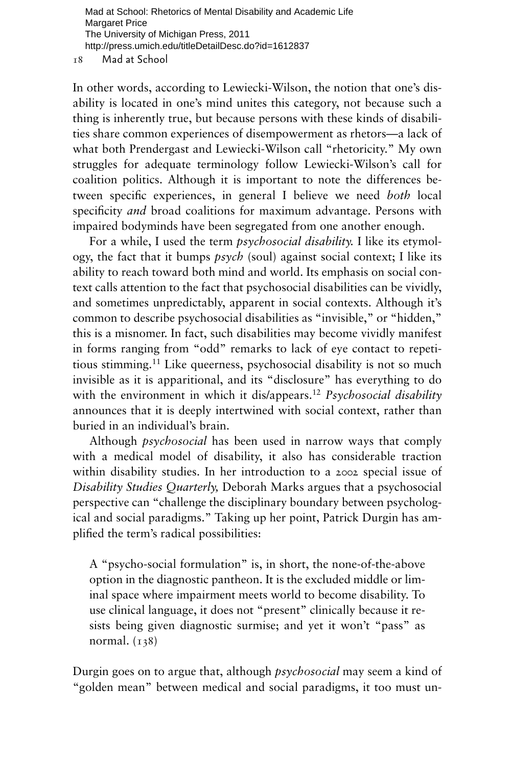18 Mad at School

In other words, according to Lewiecki-Wilson, the notion that one's disability is located in one's mind unites this category, not because such a thing is inherently true, but because persons with these kinds of disabilities share common experiences of disempowerment as rhetors—a lack of what both Prendergast and Lewiecki-Wilson call "rhetoricity." My own struggles for adequate terminology follow Lewiecki-Wilson's call for coalition politics. Although it is important to note the differences between specific experiences, in general I believe we need *both* local specificity *and* broad coalitions for maximum advantage. Persons with impaired bodyminds have been segregated from one another enough.

For a while, I used the term *psychosocial disability.* I like its etymology, the fact that it bumps *psych* (soul) against social context; I like its ability to reach toward both mind and world. Its emphasis on social context calls attention to the fact that psychosocial disabilities can be vividly, and sometimes unpredictably, apparent in social contexts. Although it's common to describe psychosocial disabilities as "invisible," or "hidden," this is a misnomer. In fact, such disabilities may become vividly manifest in forms ranging from "odd" remarks to lack of eye contact to repetitious stimming.<sup>11</sup> Like queerness, psychosocial disability is not so much invisible as it is apparitional, and its "disclosure" has everything to do with the environment in which it dis/appears.<sup>12</sup> *Psychosocial disability* announces that it is deeply intertwined with social context, rather than buried in an individual's brain.

Although *psychosocial* has been used in narrow ways that comply with a medical model of disability, it also has considerable traction within disability studies. In her introduction to a 2002 special issue of *Disability Studies Quarterly,* Deborah Marks argues that a psychosocial perspective can "challenge the disciplinary boundary between psychological and social paradigms." Taking up her point, Patrick Durgin has amplified the term's radical possibilities:

A "psycho-social formulation" is, in short, the none-of-the-above option in the diagnostic pantheon. It is the excluded middle or liminal space where impairment meets world to become disability. To use clinical language, it does not "present" clinically because it resists being given diagnostic surmise; and yet it won't "pass" as normal.  $(138)$ 

Durgin goes on to argue that, although *psychosocial* may seem a kind of "golden mean" between medical and social paradigms, it too must un-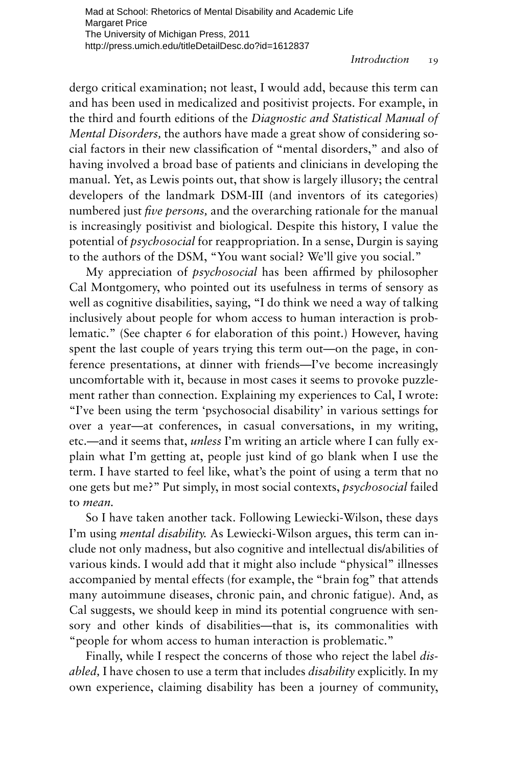dergo critical examination; not least, I would add, because this term can and has been used in medicalized and positivist projects. For example, in the third and fourth editions of the *Diagnostic and Statistical Manual of Mental Disorders,* the authors have made a great show of considering social factors in their new classification of "mental disorders," and also of having involved a broad base of patients and clinicians in developing the manual. Yet, as Lewis points out, that show is largely illusory; the central developers of the landmark DSM-III (and inventors of its categories) numbered just *five persons*, and the overarching rationale for the manual is increasingly positivist and biological. Despite this history, I value the potential of *psychosocial* for reappropriation. In a sense, Durgin is saying to the authors of the DSM, "You want social? We'll give you social."

My appreciation of *psychosocial* has been affirmed by philosopher Cal Montgomery, who pointed out its usefulness in terms of sensory as well as cognitive disabilities, saying, "I do think we need a way of talking inclusively about people for whom access to human interaction is problematic." (See chapter 6 for elaboration of this point.) However, having spent the last couple of years trying this term out—on the page, in conference presentations, at dinner with friends—I've become increasingly uncomfortable with it, because in most cases it seems to provoke puzzlement rather than connection. Explaining my experiences to Cal, I wrote: "I've been using the term 'psychosocial disability' in various settings for over a year—at conferences, in casual conversations, in my writing, etc.—and it seems that, *unless* I'm writing an article where I can fully explain what I'm getting at, people just kind of go blank when I use the term. I have started to feel like, what's the point of using a term that no one gets but me?" Put simply, in most social contexts, *psychosocial* failed to *mean.*

So I have taken another tack. Following Lewiecki-Wilson, these days I'm using *mental disability.* As Lewiecki-Wilson argues, this term can include not only madness, but also cognitive and intellectual dis/abilities of various kinds. I would add that it might also include "physical" illnesses accompanied by mental effects (for example, the "brain fog" that attends many autoimmune diseases, chronic pain, and chronic fatigue). And, as Cal suggests, we should keep in mind its potential congruence with sensory and other kinds of disabilities—that is, its commonalities with "people for whom access to human interaction is problematic."

Finally, while I respect the concerns of those who reject the label *disabled,* I have chosen to use a term that includes *disability* explicitly. In my own experience, claiming disability has been a journey of community,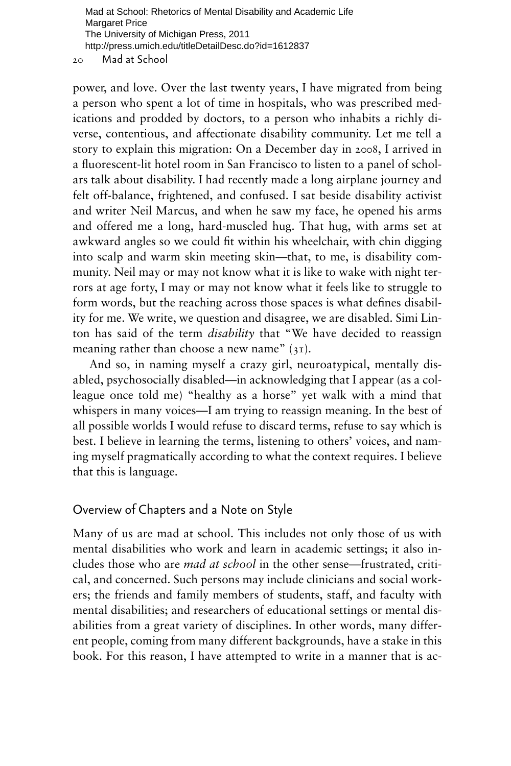20 Mad at School

power, and love. Over the last twenty years, I have migrated from being a person who spent a lot of time in hospitals, who was prescribed medications and prodded by doctors, to a person who inhabits a richly diverse, contentious, and affectionate disability community. Let me tell a story to explain this migration: On a December day in 2008, I arrived in a fluorescent-lit hotel room in San Francisco to listen to a panel of scholars talk about disability. I had recently made a long airplane journey and felt off-balance, frightened, and confused. I sat beside disability activist and writer Neil Marcus, and when he saw my face, he opened his arms and offered me a long, hard-muscled hug. That hug, with arms set at awkward angles so we could fit within his wheelchair, with chin digging into scalp and warm skin meeting skin—that, to me, is disability community. Neil may or may not know what it is like to wake with night terrors at age forty, I may or may not know what it feels like to struggle to form words, but the reaching across those spaces is what defines disability for me. We write, we question and disagree, we are disabled. Simi Linton has said of the term *disability* that "We have decided to reassign meaning rather than choose a new name"  $(31)$ .

And so, in naming myself a crazy girl, neuroatypical, mentally disabled, psychosocially disabled—in acknowledging that I appear (as a colleague once told me) "healthy as a horse" yet walk with a mind that whispers in many voices—I am trying to reassign meaning. In the best of all possible worlds I would refuse to discard terms, refuse to say which is best. I believe in learning the terms, listening to others' voices, and naming myself pragmatically according to what the context requires. I believe that this is language.

## Overview of Chapters and a Note on Style

Many of us are mad at school. This includes not only those of us with mental disabilities who work and learn in academic settings; it also includes those who are *mad at school* in the other sense—frustrated, critical, and concerned. Such persons may include clinicians and social workers; the friends and family members of students, staff, and faculty with mental disabilities; and researchers of educational settings or mental disabilities from a great variety of disciplines. In other words, many different people, coming from many different backgrounds, have a stake in this book. For this reason, I have attempted to write in a manner that is ac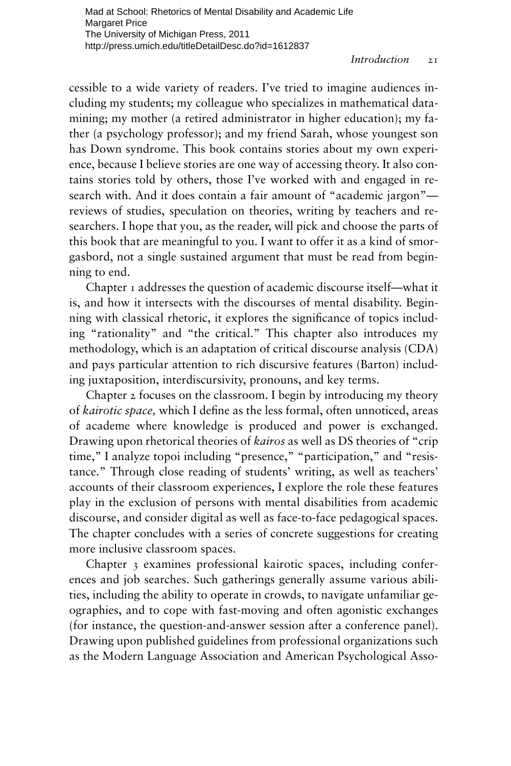cessible to a wide variety of readers. I've tried to imagine audiences including my students; my colleague who specializes in mathematical datamining; my mother (a retired administrator in higher education); my father (a psychology professor); and my friend Sarah, whose youngest son has Down syndrome. This book contains stories about my own experience, because I believe stories are one way of accessing theory. It also contains stories told by others, those I've worked with and engaged in research with. And it does contain a fair amount of "academic jargon" reviews of studies, speculation on theories, writing by teachers and researchers. I hope that you, as the reader, will pick and choose the parts of this book that are meaningful to you. I want to offer it as a kind of smorgasbord, not a single sustained argument that must be read from beginning to end.

Chapter 1 addresses the question of academic discourse itself—what it is, and how it intersects with the discourses of mental disability. Beginning with classical rhetoric, it explores the significance of topics including "rationality" and "the critical." This chapter also introduces my methodology, which is an adaptation of critical discourse analysis (CDA) and pays particular attention to rich discursive features (Barton) including juxtaposition, interdiscursivity, pronouns, and key terms.

Chapter 2 focuses on the classroom. I begin by introducing my theory of *kairotic space*, which I define as the less formal, often unnoticed, areas of academe where knowledge is produced and power is exchanged. Drawing upon rhetorical theories of *kairos* as well as DS theories of "crip time," I analyze topoi including "presence," "participation," and "resistance." Through close reading of students' writing, as well as teachers' accounts of their classroom experiences, I explore the role these features play in the exclusion of persons with mental disabilities from academic discourse, and consider digital as well as face-to-face pedagogical spaces. The chapter concludes with a series of concrete suggestions for creating more inclusive classroom spaces.

Chapter 3 examines professional kairotic spaces, including conferences and job searches. Such gatherings generally assume various abilities, including the ability to operate in crowds, to navigate unfamiliar geographies, and to cope with fast-moving and often agonistic exchanges (for instance, the question-and-answer session after a conference panel). Drawing upon published guidelines from professional organizations such as the Modern Language Association and American Psychological Asso-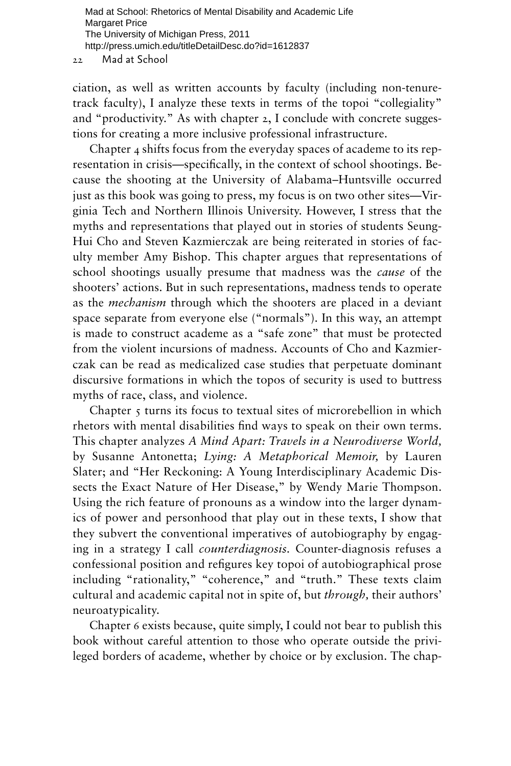22 Mad at School

ciation, as well as written accounts by faculty (including non-tenuretrack faculty), I analyze these texts in terms of the topoi "collegiality" and "productivity." As with chapter 2, I conclude with concrete suggestions for creating a more inclusive professional infrastructure.

Chapter 4 shifts focus from the everyday spaces of academe to its representation in crisis—specifically, in the context of school shootings. Because the shooting at the University of Alabama–Huntsville occurred just as this book was going to press, my focus is on two other sites—Virginia Tech and Northern Illinois University. However, I stress that the myths and representations that played out in stories of students Seung-Hui Cho and Steven Kazmierczak are being reiterated in stories of faculty member Amy Bishop. This chapter argues that representations of school shootings usually presume that madness was the *cause* of the shooters' actions. But in such representations, madness tends to operate as the *mechanism* through which the shooters are placed in a deviant space separate from everyone else ("normals"). In this way, an attempt is made to construct academe as a "safe zone" that must be protected from the violent incursions of madness. Accounts of Cho and Kazmierczak can be read as medicalized case studies that perpetuate dominant discursive formations in which the topos of security is used to buttress myths of race, class, and violence.

Chapter 5 turns its focus to textual sites of microrebellion in which rhetors with mental disabilities find ways to speak on their own terms. This chapter analyzes *A Mind Apart: Travels in a Neurodiverse World,* by Susanne Antonetta; *Lying: A Metaphorical Memoir,* by Lauren Slater; and "Her Reckoning: A Young Interdisciplinary Academic Dissects the Exact Nature of Her Disease," by Wendy Marie Thompson. Using the rich feature of pronouns as a window into the larger dynamics of power and personhood that play out in these texts, I show that they subvert the conventional imperatives of autobiography by engaging in a strategy I call *counterdiagnosis.* Counter-diagnosis refuses a confessional position and refigures key topoi of autobiographical prose including "rationality," "coherence," and "truth." These texts claim cultural and academic capital not in spite of, but *through,* their authors' neuroatypicality.

Chapter 6 exists because, quite simply, I could not bear to publish this book without careful attention to those who operate outside the privileged borders of academe, whether by choice or by exclusion. The chap-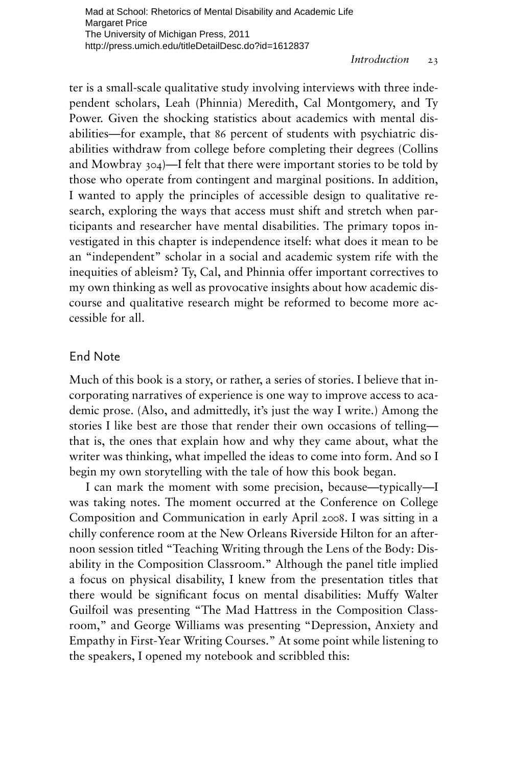### *Introduction* 23

ter is a small-scale qualitative study involving interviews with three independent scholars, Leah (Phinnia) Meredith, Cal Montgomery, and Ty Power. Given the shocking statistics about academics with mental disabilities—for example, that 86 percent of students with psychiatric disabilities withdraw from college before completing their degrees (Collins and Mowbray 304)—I felt that there were important stories to be told by those who operate from contingent and marginal positions. In addition, I wanted to apply the principles of accessible design to qualitative research, exploring the ways that access must shift and stretch when participants and researcher have mental disabilities. The primary topos investigated in this chapter is independence itself: what does it mean to be an "independent" scholar in a social and academic system rife with the inequities of ableism? Ty, Cal, and Phinnia offer important correctives to my own thinking as well as provocative insights about how academic discourse and qualitative research might be reformed to become more accessible for all.

## End Note

Much of this book is a story, or rather, a series of stories. I believe that incorporating narratives of experience is one way to improve access to academic prose. (Also, and admittedly, it's just the way I write.) Among the stories I like best are those that render their own occasions of telling that is, the ones that explain how and why they came about, what the writer was thinking, what impelled the ideas to come into form. And so I begin my own storytelling with the tale of how this book began.

I can mark the moment with some precision, because—typically—I was taking notes. The moment occurred at the Conference on College Composition and Communication in early April 2008. I was sitting in a chilly conference room at the New Orleans Riverside Hilton for an afternoon session titled "Teaching Writing through the Lens of the Body: Disability in the Composition Classroom." Although the panel title implied a focus on physical disability, I knew from the presentation titles that there would be significant focus on mental disabilities: Muffy Walter Guilfoil was presenting "The Mad Hattress in the Composition Classroom," and George Williams was presenting "Depression, Anxiety and Empathy in First-Year Writing Courses." At some point while listening to the speakers, I opened my notebook and scribbled this: